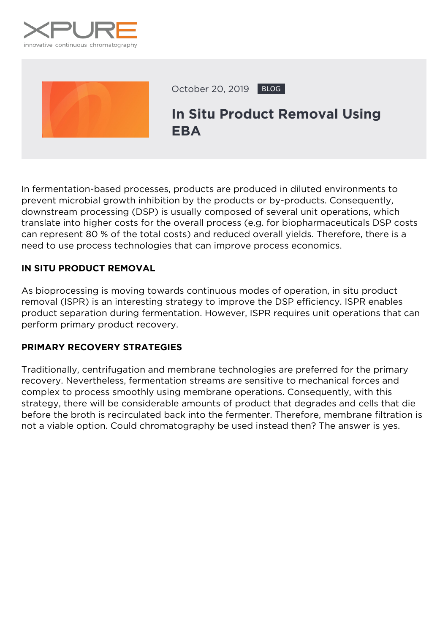



October 20, 2019 BLOG

# **In Situ Product Removal Using EBA**

In fermentation-based processes, products are produced in diluted environments to prevent microbial growth inhibition by the products or by-products. Consequently, downstream processing (DSP) is usually composed of several unit operations, which translate into higher costs for the overall process (*e.g.* for biopharmaceuticals DSP costs can represent 80 % of the total costs) and reduced overall yields. Therefore, there is a need to use process technologies that can improve process economics.

# **IN SITU PRODUCT REMOVAL**

As bioprocessing is moving towards continuous modes of operation, in situ product removal (ISPR) is an interesting strategy to improve the DSP efficiency. ISPR enables product separation during fermentation. However, ISPR requires unit operations that can perform primary product recovery.

# **PRIMARY RECOVERY STRATEGIES**

Traditionally, centrifugation and membrane technologies are preferred for the primary recovery. Nevertheless, fermentation streams are sensitive to mechanical forces and complex to process smoothly using membrane operations. Consequently, with this strategy, there will be considerable amounts of product that degrades and cells that die before the broth is recirculated back into the fermenter. Therefore, membrane filtration is not a viable option. Could chromatography be used instead then? The answer is yes.